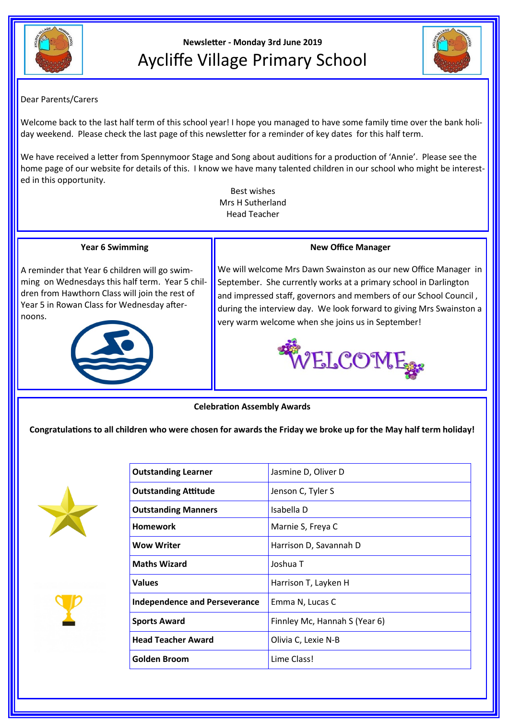



## Dear Parents/Carers

Welcome back to the last half term of this school year! I hope you managed to have some family time over the bank holiday weekend. Please check the last page of this newsletter for a reminder of key dates for this half term.

We have received a letter from Spennymoor Stage and Song about auditions for a production of 'Annie'. Please see the home page of our website for details of this. I know we have many talented children in our school who might be interested in this opportunity.

Best wishes Mrs H Sutherland Head Teacher

#### **Year 6 Swimming**

A reminder that Year 6 children will go swimming on Wednesdays this half term. Year 5 children from Hawthorn Class will join the rest of Year 5 in Rowan Class for Wednesday afternoons.



## **New Office Manager**

We will welcome Mrs Dawn Swainston as our new Office Manager in September. She currently works at a primary school in Darlington and impressed staff, governors and members of our School Council , during the interview day. We look forward to giving Mrs Swainston a very warm welcome when she joins us in September!



**Celebration Assembly Awards**

**Congratulations to all children who were chosen for awards the Friday we broke up for the May half term holiday!**





| <b>Outstanding Learner</b>           | Jasmine D, Oliver D           |
|--------------------------------------|-------------------------------|
| <b>Outstanding Attitude</b>          | Jenson C, Tyler S             |
| <b>Outstanding Manners</b>           | Isabella D                    |
| <b>Homework</b>                      | Marnie S, Freya C             |
| <b>Wow Writer</b>                    | Harrison D, Savannah D        |
| <b>Maths Wizard</b>                  | Joshua T                      |
| <b>Values</b>                        | Harrison T, Layken H          |
| <b>Independence and Perseverance</b> | Emma N, Lucas C               |
| <b>Sports Award</b>                  | Finnley Mc, Hannah S (Year 6) |
| <b>Head Teacher Award</b>            | Olivia C, Lexie N-B           |
| <b>Golden Broom</b>                  | Lime Class!                   |
|                                      |                               |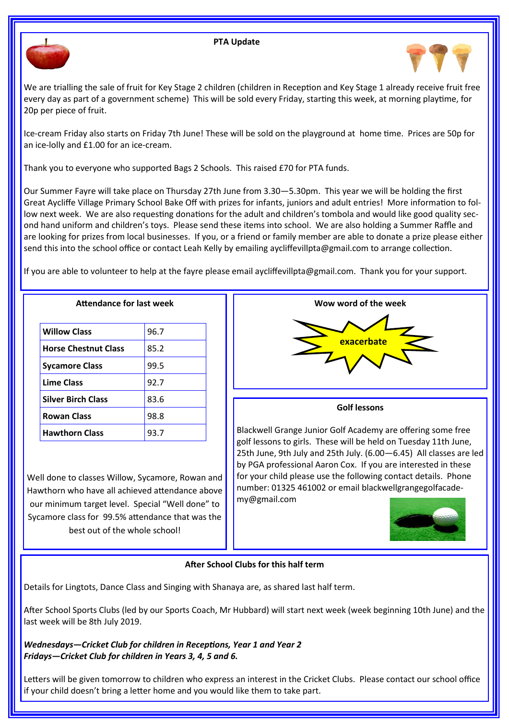#### **PTA Update**





We are trialling the sale of fruit for Key Stage 2 children (children in Reception and Key Stage 1 already receive fruit free every day as part of a government scheme) This will be sold every Friday, starting this week, at morning playtime, for 20p per piece of fruit.

Ice-cream Friday also starts on Friday 7th June! These will be sold on the playground at home time. Prices are 50p for an ice-lolly and £1.00 for an ice-cream.

Thank you to everyone who supported Bags 2 Schools. This raised £70 for PTA funds.

Our Summer Fayre will take place on Thursday 27th June from 3.30—5.30pm. This year we will be holding the first Great Aycliffe Village Primary School Bake Off with prizes for infants, juniors and adult entries! More information to follow next week. We are also requesting donations for the adult and children's tombola and would like good quality second hand uniform and children's toys. Please send these items into school. We are also holding a Summer Raffle and are looking for prizes from local businesses. If you, or a friend or family member are able to donate a prize please either send this into the school office or contact Leah Kelly by emailing aycliffevillpta@gmail.com to arrange collection.

If you are able to volunteer to help at the fayre please email aycliffevillpta@gmail.com. Thank you for your support.

| <b>Attendance for last week</b> |      |  |
|---------------------------------|------|--|
| <b>Willow Class</b>             | 96.7 |  |
| <b>Horse Chestnut Class</b>     | 85.2 |  |
| <b>Sycamore Class</b>           | 99.5 |  |
| <b>Lime Class</b>               | 92.7 |  |
| <b>Silver Birch Class</b>       | 83.6 |  |
| <b>Rowan Class</b>              | 98.8 |  |
| <b>Hawthorn Class</b>           | 93.7 |  |

Well done to classes Willow, Sycamore, Rowan and Hawthorn who have all achieved attendance above our minimum target level. Special "Well done" to Sycamore class for 99.5% attendance that was the best out of the whole school!



### **After School Clubs for this half term**

Details for Lingtots, Dance Class and Singing with Shanaya are, as shared last half term.

After School Sports Clubs (led by our Sports Coach, Mr Hubbard) will start next week (week beginning 10th June) and the last week will be 8th July 2019.

*Wednesdays—Cricket Club for children in Receptions, Year 1 and Year 2 Fridays—Cricket Club for children in Years 3, 4, 5 and 6.*

Letters will be given tomorrow to children who express an interest in the Cricket Clubs. Please contact our school office if your child doesn't bring a letter home and you would like them to take part.